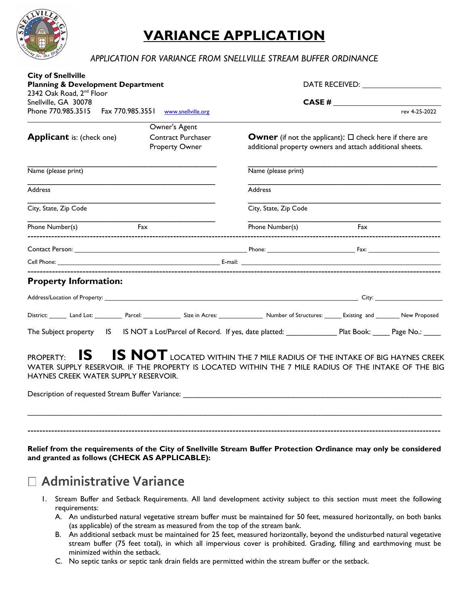

# **VARIANCE APPLICATION**

## *APPLICATION FOR VARIANCE FROM SNELLVILLE STREAM BUFFER ORDINANCE*

| <b>City of Snellville</b><br><b>Planning &amp; Development Department</b>                                                                                                                                                          |                                                    | DATE RECEIVED: THE RECEIVED OF THE RECEIVED.                                                                                    |     |                         |
|------------------------------------------------------------------------------------------------------------------------------------------------------------------------------------------------------------------------------------|----------------------------------------------------|---------------------------------------------------------------------------------------------------------------------------------|-----|-------------------------|
| 2342 Oak Road, 2 <sup>nd</sup> Floor                                                                                                                                                                                               |                                                    |                                                                                                                                 |     |                         |
| Snellville, GA 30078<br>Phone 770.985.3515                                                                                                                                                                                         | Fax 770.985.3551 www.snellville.org                |                                                                                                                                 |     | CASE #<br>rev 4-25-2022 |
|                                                                                                                                                                                                                                    |                                                    |                                                                                                                                 |     |                         |
|                                                                                                                                                                                                                                    | Owner's Agent                                      |                                                                                                                                 |     |                         |
| <b>Applicant</b> is: (check one)                                                                                                                                                                                                   | <b>Contract Purchaser</b><br><b>Property Owner</b> | <b>Owner</b> (if not the applicant): $\Box$ check here if there are<br>additional property owners and attach additional sheets. |     |                         |
| Name (please print)                                                                                                                                                                                                                |                                                    | Name (please print)                                                                                                             |     |                         |
| <b>Address</b>                                                                                                                                                                                                                     |                                                    | <b>Address</b>                                                                                                                  |     |                         |
| City, State, Zip Code                                                                                                                                                                                                              |                                                    | City, State, Zip Code                                                                                                           |     |                         |
| Phone Number(s)                                                                                                                                                                                                                    | Fax                                                | Phone Number(s)                                                                                                                 | Fax |                         |
|                                                                                                                                                                                                                                    |                                                    |                                                                                                                                 |     |                         |
| Cell Phone: <b>Example 2018 Contract Contract Contract Contract Contract Contract Contract Contract Contract Contract Contract Contract Contract Contract Contract Contract Contract Contract Contract Contract Contract Contr</b> |                                                    |                                                                                                                                 |     |                         |
| <b>Property Information:</b>                                                                                                                                                                                                       |                                                    |                                                                                                                                 |     |                         |
|                                                                                                                                                                                                                                    |                                                    |                                                                                                                                 |     |                         |
| District: _______ Land Lot: __________ Parcel: ______________ Size in Acres: ______________ Number of Structures: ________ Existing and _______ New Proposed                                                                       |                                                    |                                                                                                                                 |     |                         |
| The Subject property IS IS NOT a Lot/Parcel of Record. If yes, date platted: Plat Book: Plat Book: Page No.: 1898                                                                                                                  |                                                    |                                                                                                                                 |     |                         |
| IS I<br><b>PROPERTY:</b><br>WATER SUPPLY RESERVOIR. IF THE PROPERTY IS LOCATED WITHIN THE 7 MILE RADIUS OF THE INTAKE OF THE BIG<br>HAYNES CREEK WATER SUPPLY RESERVOIR.                                                           |                                                    | <b>IS NOT</b> LOCATED WITHIN THE 7 MILE RADIUS OF THE INTAKE OF BIG HAYNES CREEK                                                |     |                         |
|                                                                                                                                                                                                                                    |                                                    |                                                                                                                                 |     |                         |

**Relief from the requirements of the City of Snellville Stream Buffer Protection Ordinance may only be considered and granted as follows (CHECK AS APPLICABLE):** 

## **Administrative Variance**

- 1. Stream Buffer and Setback Requirements. All land development activity subject to this section must meet the following requirements:
	- A. An undisturbed natural vegetative stream buffer must be maintained for 50 feet, measured horizontally, on both banks (as applicable) of the stream as measured from the top of the stream bank.
	- B. An additional setback must be maintained for 25 feet, measured horizontally, beyond the undisturbed natural vegetative stream buffer (75 feet total), in which all impervious cover is prohibited. Grading, filling and earthmoving must be minimized within the setback.
	- C. No septic tanks or septic tank drain fields are permitted within the stream buffer or the setback.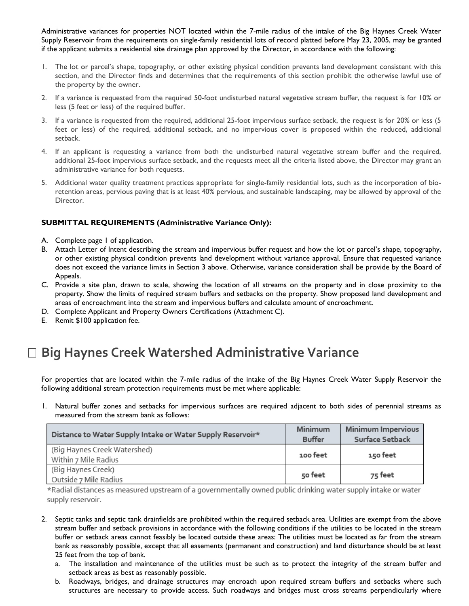Administrative variances for properties NOT located within the 7-mile radius of the intake of the Big Haynes Creek Water Supply Reservoir from the requirements on single-family residential lots of record platted before May 23, 2005, may be granted if the applicant submits a residential site drainage plan approved by the Director, in accordance with the following:

- 1. The lot or parcel's shape, topography, or other existing physical condition prevents land development consistent with this section, and the Director finds and determines that the requirements of this section prohibit the otherwise lawful use of the property by the owner.
- 2. If a variance is requested from the required 50-foot undisturbed natural vegetative stream buffer, the request is for 10% or less (5 feet or less) of the required buffer.
- 3. If a variance is requested from the required, additional 25-foot impervious surface setback, the request is for 20% or less (5 feet or less) of the required, additional setback, and no impervious cover is proposed within the reduced, additional setback.
- 4. If an applicant is requesting a variance from both the undisturbed natural vegetative stream buffer and the required, additional 25-foot impervious surface setback, and the requests meet all the criteria listed above, the Director may grant an administrative variance for both requests.
- 5. Additional water quality treatment practices appropriate for single-family residential lots, such as the incorporation of bioretention areas, pervious paving that is at least 40% pervious, and sustainable landscaping, may be allowed by approval of the Director.

## **SUBMITTAL REQUIREMENTS (Administrative Variance Only):**

- A. Complete page 1 of application.
- B. Attach Letter of Intent describing the stream and impervious buffer request and how the lot or parcel's shape, topography, or other existing physical condition prevents land development without variance approval. Ensure that requested variance does not exceed the variance limits in Section 3 above. Otherwise, variance consideration shall be provide by the Board of Appeals.
- C. Provide a site plan, drawn to scale, showing the location of all streams on the property and in close proximity to the property. Show the limits of required stream buffers and setbacks on the property. Show proposed land development and areas of encroachment into the stream and impervious buffers and calculate amount of encroachment.
- D. Complete Applicant and Property Owners Certifications (Attachment C).
- E. Remit \$100 application fee.

# **Big Haynes Creek Watershed Administrative Variance**

For properties that are located within the 7-mile radius of the intake of the Big Haynes Creek Water Supply Reservoir the following additional stream protection requirements must be met where applicable:

1. Natural buffer zones and setbacks for impervious surfaces are required adjacent to both sides of perennial streams as measured from the stream bank as follows:

| Distance to Water Supply Intake or Water Supply Reservoir* | Minimum       | Minimum Impervious |
|------------------------------------------------------------|---------------|--------------------|
|                                                            | <b>Buffer</b> | Surface Setback    |
| (Big Haynes Creek Watershed)                               | 100 feet      |                    |
| Within 7 Mile Radius                                       |               | 150 feet           |
| (Big Haynes Creek)                                         |               |                    |
| Outside 7 Mile Radius                                      | 50 feet       | 75 feet            |

\*Radial distances as measured upstream of a governmentally owned public drinking water supply intake or water supply reservoir.

- 2. Septic tanks and septic tank drainfields are prohibited within the required setback area. Utilities are exempt from the above stream buffer and setback provisions in accordance with the following conditions if the utilities to be located in the stream buffer or setback areas cannot feasibly be located outside these areas: The utilities must be located as far from the stream bank as reasonably possible, except that all easements (permanent and construction) and land disturbance should be at least 25 feet from the top of bank.
	- a. The installation and maintenance of the utilities must be such as to protect the integrity of the stream buffer and setback areas as best as reasonably possible.
	- b. Roadways, bridges, and drainage structures may encroach upon required stream buffers and setbacks where such structures are necessary to provide access. Such roadways and bridges must cross streams perpendicularly where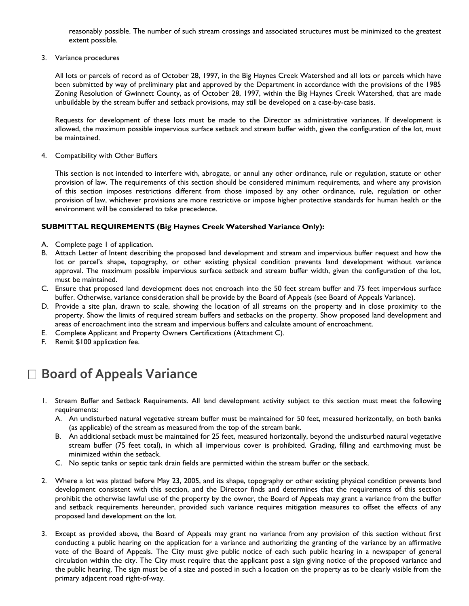reasonably possible. The number of such stream crossings and associated structures must be minimized to the greatest extent possible.

3. Variance procedures

All lots or parcels of record as of October 28, 1997, in the Big Haynes Creek Watershed and all lots or parcels which have been submitted by way of preliminary plat and approved by the Department in accordance with the provisions of the 1985 Zoning Resolution of Gwinnett County, as of October 28, 1997, within the Big Haynes Creek Watershed, that are made unbuildable by the stream buffer and setback provisions, may still be developed on a case-by-case basis.

Requests for development of these lots must be made to the Director as administrative variances. If development is allowed, the maximum possible impervious surface setback and stream buffer width, given the configuration of the lot, must be maintained.

4. Compatibility with Other Buffers

This section is not intended to interfere with, abrogate, or annul any other ordinance, rule or regulation, statute or other provision of law. The requirements of this section should be considered minimum requirements, and where any provision of this section imposes restrictions different from those imposed by any other ordinance, rule, regulation or other provision of law, whichever provisions are more restrictive or impose higher protective standards for human health or the environment will be considered to take precedence.

#### **SUBMITTAL REQUIREMENTS (Big Haynes Creek Watershed Variance Only):**

- A. Complete page 1 of application.
- B. Attach Letter of Intent describing the proposed land development and stream and impervious buffer request and how the lot or parcel's shape, topography, or other existing physical condition prevents land development without variance approval. The maximum possible impervious surface setback and stream buffer width, given the configuration of the lot, must be maintained.
- C. Ensure that proposed land development does not encroach into the 50 feet stream buffer and 75 feet impervious surface buffer. Otherwise, variance consideration shall be provide by the Board of Appeals (see Board of Appeals Variance).
- D. Provide a site plan, drawn to scale, showing the location of all streams on the property and in close proximity to the property. Show the limits of required stream buffers and setbacks on the property. Show proposed land development and areas of encroachment into the stream and impervious buffers and calculate amount of encroachment.
- E. Complete Applicant and Property Owners Certifications (Attachment C).
- F. Remit \$100 application fee.

## **Board of Appeals Variance**

- 1. Stream Buffer and Setback Requirements. All land development activity subject to this section must meet the following requirements:
	- A. An undisturbed natural vegetative stream buffer must be maintained for 50 feet, measured horizontally, on both banks (as applicable) of the stream as measured from the top of the stream bank.
	- B. An additional setback must be maintained for 25 feet, measured horizontally, beyond the undisturbed natural vegetative stream buffer (75 feet total), in which all impervious cover is prohibited. Grading, filling and earthmoving must be minimized within the setback.
	- C. No septic tanks or septic tank drain fields are permitted within the stream buffer or the setback.
- 2. Where a lot was platted before May 23, 2005, and its shape, topography or other existing physical condition prevents land development consistent with this section, and the Director finds and determines that the requirements of this section prohibit the otherwise lawful use of the property by the owner, the Board of Appeals may grant a variance from the buffer and setback requirements hereunder, provided such variance requires mitigation measures to offset the effects of any proposed land development on the lot.
- 3. Except as provided above, the Board of Appeals may grant no variance from any provision of this section without first conducting a public hearing on the application for a variance and authorizing the granting of the variance by an affirmative vote of the Board of Appeals. The City must give public notice of each such public hearing in a newspaper of general circulation within the city. The City must require that the applicant post a sign giving notice of the proposed variance and the public hearing. The sign must be of a size and posted in such a location on the property as to be clearly visible from the primary adjacent road right-of-way.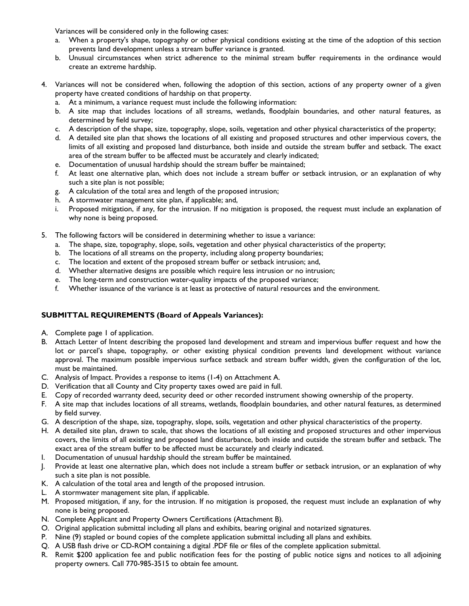Variances will be considered only in the following cases:

- a. When a property's shape, topography or other physical conditions existing at the time of the adoption of this section prevents land development unless a stream buffer variance is granted.
- b. Unusual circumstances when strict adherence to the minimal stream buffer requirements in the ordinance would create an extreme hardship.
- 4. Variances will not be considered when, following the adoption of this section, actions of any property owner of a given property have created conditions of hardship on that property.
	- a. At a minimum, a variance request must include the following information:
	- b. A site map that includes locations of all streams, wetlands, floodplain boundaries, and other natural features, as determined by field survey;
	- c. A description of the shape, size, topography, slope, soils, vegetation and other physical characteristics of the property;
	- d. A detailed site plan that shows the locations of all existing and proposed structures and other impervious covers, the limits of all existing and proposed land disturbance, both inside and outside the stream buffer and setback. The exact area of the stream buffer to be affected must be accurately and clearly indicated;
	- e. Documentation of unusual hardship should the stream buffer be maintained;
	- f. At least one alternative plan, which does not include a stream buffer or setback intrusion, or an explanation of why such a site plan is not possible;
	- g. A calculation of the total area and length of the proposed intrusion;
	- h. A stormwater management site plan, if applicable; and,
	- i. Proposed mitigation, if any, for the intrusion. If no mitigation is proposed, the request must include an explanation of why none is being proposed.
- 5. The following factors will be considered in determining whether to issue a variance:
	- a. The shape, size, topography, slope, soils, vegetation and other physical characteristics of the property;
	- b. The locations of all streams on the property, including along property boundaries;
	- c. The location and extent of the proposed stream buffer or setback intrusion; and,
	- d. Whether alternative designs are possible which require less intrusion or no intrusion;
	- e. The long-term and construction water-quality impacts of the proposed variance;
	- f. Whether issuance of the variance is at least as protective of natural resources and the environment.

## **SUBMITTAL REQUIREMENTS (Board of Appeals Variances):**

- A. Complete page 1 of application.
- B. Attach Letter of Intent describing the proposed land development and stream and impervious buffer request and how the lot or parcel's shape, topography, or other existing physical condition prevents land development without variance approval. The maximum possible impervious surface setback and stream buffer width, given the configuration of the lot, must be maintained.
- C. Analysis of Impact. Provides a response to items (1-4) on Attachment A.
- D. Verification that all County and City property taxes owed are paid in full.
- E. Copy of recorded warranty deed, security deed or other recorded instrument showing ownership of the property.
- F. A site map that includes locations of all streams, wetlands, floodplain boundaries, and other natural features, as determined by field survey.
- G. A description of the shape, size, topography, slope, soils, vegetation and other physical characteristics of the property.
- H. A detailed site plan, drawn to scale, that shows the locations of all existing and proposed structures and other impervious covers, the limits of all existing and proposed land disturbance, both inside and outside the stream buffer and setback. The exact area of the stream buffer to be affected must be accurately and clearly indicated.
- I. Documentation of unusual hardship should the stream buffer be maintained.
- J. Provide at least one alternative plan, which does not include a stream buffer or setback intrusion, or an explanation of why such a site plan is not possible.
- K. A calculation of the total area and length of the proposed intrusion.
- L. A stormwater management site plan, if applicable.
- M. Proposed mitigation, if any, for the intrusion. If no mitigation is proposed, the request must include an explanation of why none is being proposed.
- N. Complete Applicant and Property Owners Certifications (Attachment B).
- O. Original application submittal including all plans and exhibits, bearing original and notarized signatures.
- P. Nine (9) stapled or bound copies of the complete application submittal including all plans and exhibits.
- Q. A USB flash drive or CD-ROM containing a digital .PDF file or files of the complete application submittal.
- R. Remit \$200 application fee and public notification fees for the posting of public notice signs and notices to all adjoining property owners. Call 770-985-3515 to obtain fee amount.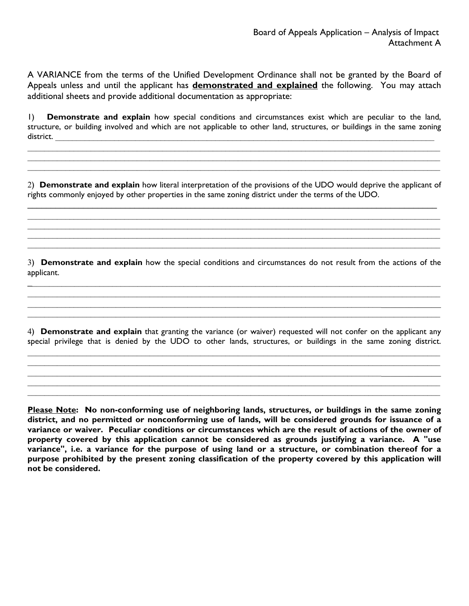A VARIANCE from the terms of the Unified Development Ordinance shall not be granted by the Board of Appeals unless and until the applicant has **demonstrated and explained** the following. You may attach additional sheets and provide additional documentation as appropriate:

1) **Demonstrate and explain** how special conditions and circumstances exist which are peculiar to the land, structure, or building involved and which are not applicable to other land, structures, or buildings in the same zoning district.

 $\mathcal{L}_\mathcal{L} = \mathcal{L}_\mathcal{L} = \mathcal{L}_\mathcal{L} = \mathcal{L}_\mathcal{L} = \mathcal{L}_\mathcal{L} = \mathcal{L}_\mathcal{L} = \mathcal{L}_\mathcal{L} = \mathcal{L}_\mathcal{L} = \mathcal{L}_\mathcal{L} = \mathcal{L}_\mathcal{L} = \mathcal{L}_\mathcal{L} = \mathcal{L}_\mathcal{L} = \mathcal{L}_\mathcal{L} = \mathcal{L}_\mathcal{L} = \mathcal{L}_\mathcal{L} = \mathcal{L}_\mathcal{L} = \mathcal{L}_\mathcal{L}$  $\mathcal{L}_\mathcal{L} = \mathcal{L}_\mathcal{L} = \mathcal{L}_\mathcal{L} = \mathcal{L}_\mathcal{L} = \mathcal{L}_\mathcal{L} = \mathcal{L}_\mathcal{L} = \mathcal{L}_\mathcal{L} = \mathcal{L}_\mathcal{L} = \mathcal{L}_\mathcal{L} = \mathcal{L}_\mathcal{L} = \mathcal{L}_\mathcal{L} = \mathcal{L}_\mathcal{L} = \mathcal{L}_\mathcal{L} = \mathcal{L}_\mathcal{L} = \mathcal{L}_\mathcal{L} = \mathcal{L}_\mathcal{L} = \mathcal{L}_\mathcal{L}$  $\_$  , and the contribution of the contribution of the contribution of the contribution of the contribution of  $\mathcal{L}_\text{max}$ 

2) **Demonstrate and explain** how literal interpretation of the provisions of the UDO would deprive the applicant of rights commonly enjoyed by other properties in the same zoning district under the terms of the UDO.

 $\_$ 

 $\mathcal{L}_\mathcal{L} = \mathcal{L}_\mathcal{L} = \mathcal{L}_\mathcal{L} = \mathcal{L}_\mathcal{L} = \mathcal{L}_\mathcal{L} = \mathcal{L}_\mathcal{L} = \mathcal{L}_\mathcal{L} = \mathcal{L}_\mathcal{L} = \mathcal{L}_\mathcal{L} = \mathcal{L}_\mathcal{L} = \mathcal{L}_\mathcal{L} = \mathcal{L}_\mathcal{L} = \mathcal{L}_\mathcal{L} = \mathcal{L}_\mathcal{L} = \mathcal{L}_\mathcal{L} = \mathcal{L}_\mathcal{L} = \mathcal{L}_\mathcal{L}$  $\_$  , and the contribution of the contribution of the contribution of the contribution of the contribution of  $\mathcal{L}_\text{max}$  $\mathcal{L}_\mathcal{L} = \mathcal{L}_\mathcal{L} = \mathcal{L}_\mathcal{L} = \mathcal{L}_\mathcal{L} = \mathcal{L}_\mathcal{L} = \mathcal{L}_\mathcal{L} = \mathcal{L}_\mathcal{L} = \mathcal{L}_\mathcal{L} = \mathcal{L}_\mathcal{L} = \mathcal{L}_\mathcal{L} = \mathcal{L}_\mathcal{L} = \mathcal{L}_\mathcal{L} = \mathcal{L}_\mathcal{L} = \mathcal{L}_\mathcal{L} = \mathcal{L}_\mathcal{L} = \mathcal{L}_\mathcal{L} = \mathcal{L}_\mathcal{L}$ 

3) **Demonstrate and explain** how the special conditions and circumstances do not result from the actions of the applicant.  $\_$ 

 $\mathcal{L}_\mathcal{L} = \mathcal{L}_\mathcal{L} = \mathcal{L}_\mathcal{L} = \mathcal{L}_\mathcal{L} = \mathcal{L}_\mathcal{L} = \mathcal{L}_\mathcal{L} = \mathcal{L}_\mathcal{L} = \mathcal{L}_\mathcal{L} = \mathcal{L}_\mathcal{L} = \mathcal{L}_\mathcal{L} = \mathcal{L}_\mathcal{L} = \mathcal{L}_\mathcal{L} = \mathcal{L}_\mathcal{L} = \mathcal{L}_\mathcal{L} = \mathcal{L}_\mathcal{L} = \mathcal{L}_\mathcal{L} = \mathcal{L}_\mathcal{L}$  $\_$  $\mathcal{L}_\mathcal{L} = \mathcal{L}_\mathcal{L} = \mathcal{L}_\mathcal{L} = \mathcal{L}_\mathcal{L} = \mathcal{L}_\mathcal{L} = \mathcal{L}_\mathcal{L} = \mathcal{L}_\mathcal{L} = \mathcal{L}_\mathcal{L} = \mathcal{L}_\mathcal{L} = \mathcal{L}_\mathcal{L} = \mathcal{L}_\mathcal{L} = \mathcal{L}_\mathcal{L} = \mathcal{L}_\mathcal{L} = \mathcal{L}_\mathcal{L} = \mathcal{L}_\mathcal{L} = \mathcal{L}_\mathcal{L} = \mathcal{L}_\mathcal{L}$ 

4) **Demonstrate and explain** that granting the variance (or waiver) requested will not confer on the applicant any special privilege that is denied by the UDO to other lands, structures, or buildings in the same zoning district.

 $\mathcal{L}_\mathcal{L} = \mathcal{L}_\mathcal{L} = \mathcal{L}_\mathcal{L} = \mathcal{L}_\mathcal{L} = \mathcal{L}_\mathcal{L} = \mathcal{L}_\mathcal{L} = \mathcal{L}_\mathcal{L} = \mathcal{L}_\mathcal{L} = \mathcal{L}_\mathcal{L} = \mathcal{L}_\mathcal{L} = \mathcal{L}_\mathcal{L} = \mathcal{L}_\mathcal{L} = \mathcal{L}_\mathcal{L} = \mathcal{L}_\mathcal{L} = \mathcal{L}_\mathcal{L} = \mathcal{L}_\mathcal{L} = \mathcal{L}_\mathcal{L}$  $\mathcal{L}_\mathcal{L} = \mathcal{L}_\mathcal{L} = \mathcal{L}_\mathcal{L} = \mathcal{L}_\mathcal{L} = \mathcal{L}_\mathcal{L} = \mathcal{L}_\mathcal{L} = \mathcal{L}_\mathcal{L} = \mathcal{L}_\mathcal{L} = \mathcal{L}_\mathcal{L} = \mathcal{L}_\mathcal{L} = \mathcal{L}_\mathcal{L} = \mathcal{L}_\mathcal{L} = \mathcal{L}_\mathcal{L} = \mathcal{L}_\mathcal{L} = \mathcal{L}_\mathcal{L} = \mathcal{L}_\mathcal{L} = \mathcal{L}_\mathcal{L}$  $\_$  $\mathcal{L}_\mathcal{L} = \mathcal{L}_\mathcal{L} = \mathcal{L}_\mathcal{L} = \mathcal{L}_\mathcal{L} = \mathcal{L}_\mathcal{L} = \mathcal{L}_\mathcal{L} = \mathcal{L}_\mathcal{L} = \mathcal{L}_\mathcal{L} = \mathcal{L}_\mathcal{L} = \mathcal{L}_\mathcal{L} = \mathcal{L}_\mathcal{L} = \mathcal{L}_\mathcal{L} = \mathcal{L}_\mathcal{L} = \mathcal{L}_\mathcal{L} = \mathcal{L}_\mathcal{L} = \mathcal{L}_\mathcal{L} = \mathcal{L}_\mathcal{L}$  $\mathcal{L}_\mathcal{L} = \mathcal{L}_\mathcal{L} = \mathcal{L}_\mathcal{L} = \mathcal{L}_\mathcal{L} = \mathcal{L}_\mathcal{L} = \mathcal{L}_\mathcal{L} = \mathcal{L}_\mathcal{L} = \mathcal{L}_\mathcal{L} = \mathcal{L}_\mathcal{L} = \mathcal{L}_\mathcal{L} = \mathcal{L}_\mathcal{L} = \mathcal{L}_\mathcal{L} = \mathcal{L}_\mathcal{L} = \mathcal{L}_\mathcal{L} = \mathcal{L}_\mathcal{L} = \mathcal{L}_\mathcal{L} = \mathcal{L}_\mathcal{L}$ 

**Please Note: No non-conforming use of neighboring lands, structures, or buildings in the same zoning district, and no permitted or nonconforming use of lands, will be considered grounds for issuance of a variance or waiver. Peculiar conditions or circumstances which are the result of actions of the owner of property covered by this application cannot be considered as grounds justifying a variance. A "use variance", i.e. a variance for the purpose of using land or a structure, or combination thereof for a purpose prohibited by the present zoning classification of the property covered by this application will not be considered.**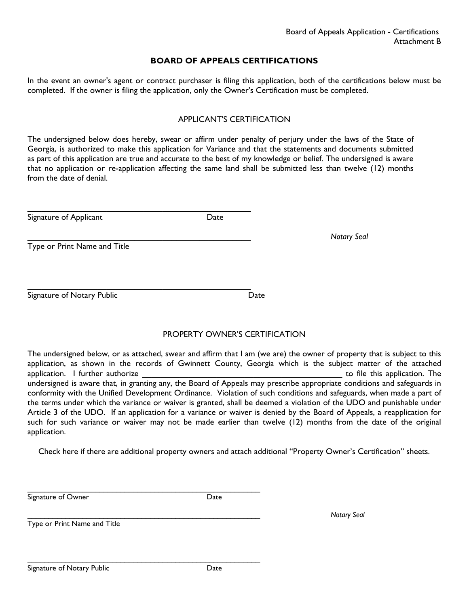## **BOARD OF APPEALS CERTIFICATIONS**

In the event an owner's agent or contract purchaser is filing this application, both of the certifications below must be completed. If the owner is filing the application, only the Owner's Certification must be completed.

#### APPLICANT'S CERTIFICATION

The undersigned below does hereby, swear or affirm under penalty of perjury under the laws of the State of Georgia, is authorized to make this application for Variance and that the statements and documents submitted as part of this application are true and accurate to the best of my knowledge or belief. The undersigned is aware that no application or re-application affecting the same land shall be submitted less than twelve (12) months from the date of denial.

| Signature of Applicant       | Date |                    |
|------------------------------|------|--------------------|
|                              |      | <b>Notary Seal</b> |
| Type or Print Name and Title |      |                    |
|                              |      |                    |
|                              |      |                    |
|                              |      |                    |

## PROPERTY OWNER'S CERTIFICATION

The undersigned below, or as attached, swear and affirm that I am (we are) the owner of property that is subject to this application, as shown in the records of Gwinnett County, Georgia which is the subject matter of the attached application. I further authorize **Exercise 20** application. The setting application of the this application. The undersigned is aware that, in granting any, the Board of Appeals may prescribe appropriate conditions and safeguards in conformity with the Unified Development Ordinance. Violation of such conditions and safeguards, when made a part of the terms under which the variance or waiver is granted, shall be deemed a violation of the UDO and punishable under Article 3 of the UDO. If an application for a variance or waiver is denied by the Board of Appeals, a reapplication for such for such variance or waiver may not be made earlier than twelve (12) months from the date of the original application.

Check here if there are additional property owners and attach additional "Property Owner's Certification" sheets.

Signature of Owner **Date** 

\_\_\_\_\_\_\_\_\_\_\_\_\_\_\_\_\_\_\_\_\_\_\_\_\_\_\_\_\_\_\_\_\_\_\_\_\_\_\_\_\_\_\_\_\_\_\_\_\_\_\_\_\_\_\_

\_\_\_\_\_\_\_\_\_\_\_\_\_\_\_\_\_\_\_\_\_\_\_\_\_\_\_\_\_\_\_\_\_\_\_\_\_\_\_\_\_\_\_\_\_\_\_\_\_\_\_\_\_\_\_

\_\_\_\_\_\_\_\_\_\_\_\_\_\_\_\_\_\_\_\_\_\_\_\_\_\_\_\_\_\_\_\_\_\_\_\_\_\_\_\_\_\_\_\_\_\_\_\_\_\_\_\_\_\_\_ *Notary Seal*

Type or Print Name and Title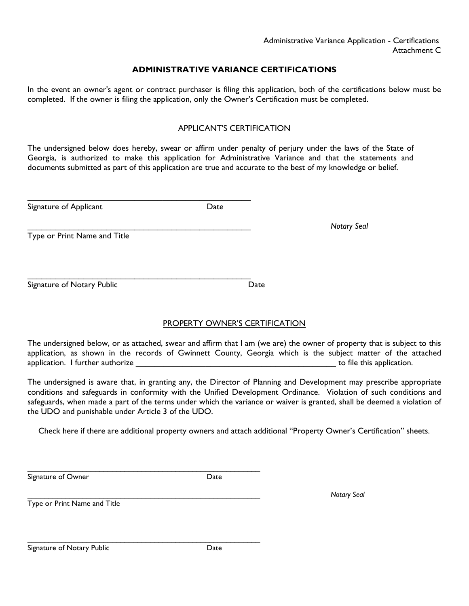## **ADMINISTRATIVE VARIANCE CERTIFICATIONS**

In the event an owner's agent or contract purchaser is filing this application, both of the certifications below must be completed. If the owner is filing the application, only the Owner's Certification must be completed.

## APPLICANT'S CERTIFICATION

The undersigned below does hereby, swear or affirm under penalty of perjury under the laws of the State of Georgia, is authorized to make this application for Administrative Variance and that the statements and documents submitted as part of this application are true and accurate to the best of my knowledge or belief.

| Signature of Applicant       | Date |                    |  |
|------------------------------|------|--------------------|--|
|                              |      | <b>Notary Seal</b> |  |
| Type or Print Name and Title |      |                    |  |
|                              |      |                    |  |
|                              |      |                    |  |
| Signature of Notary Public   | Date |                    |  |
|                              |      |                    |  |

## PROPERTY OWNER'S CERTIFICATION

The undersigned below, or as attached, swear and affirm that I am (we are) the owner of property that is subject to this application, as shown in the records of Gwinnett County, Georgia which is the subject matter of the attached application. I further authorize **Exercise 20** is a set of the state of the this application.

The undersigned is aware that, in granting any, the Director of Planning and Development may prescribe appropriate conditions and safeguards in conformity with the Unified Development Ordinance. Violation of such conditions and safeguards, when made a part of the terms under which the variance or waiver is granted, shall be deemed a violation of the UDO and punishable under Article 3 of the UDO.

Check here if there are additional property owners and attach additional "Property Owner's Certification" sheets.

Signature of Owner **Date** 

\_\_\_\_\_\_\_\_\_\_\_\_\_\_\_\_\_\_\_\_\_\_\_\_\_\_\_\_\_\_\_\_\_\_\_\_\_\_\_\_\_\_\_\_\_\_\_\_\_\_\_\_\_\_\_ *Notary Seal*

Type or Print Name and Title

Signature of Notary Public **Date** Date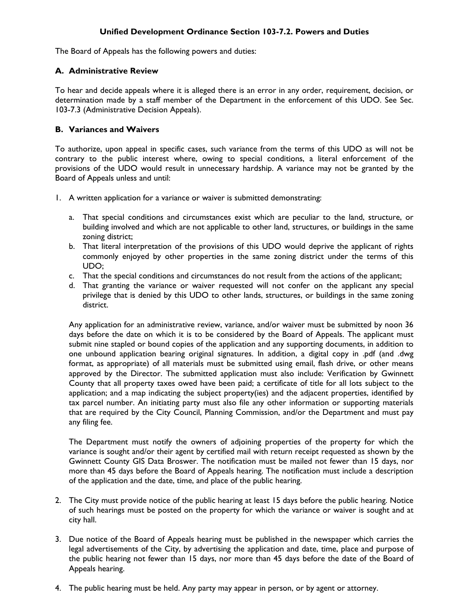## **Unified Development Ordinance Section 103-7.2. Powers and Duties**

The Board of Appeals has the following powers and duties:

#### **A. Administrative Review**

To hear and decide appeals where it is alleged there is an error in any order, requirement, decision, or determination made by a staff member of the Department in the enforcement of this UDO. See Sec. 103-7.3 (Administrative Decision Appeals).

#### **B. Variances and Waivers**

To authorize, upon appeal in specific cases, such variance from the terms of this UDO as will not be contrary to the public interest where, owing to special conditions, a literal enforcement of the provisions of the UDO would result in unnecessary hardship. A variance may not be granted by the Board of Appeals unless and until:

- 1. A written application for a variance or waiver is submitted demonstrating:
	- a. That special conditions and circumstances exist which are peculiar to the land, structure, or building involved and which are not applicable to other land, structures, or buildings in the same zoning district;
	- b. That literal interpretation of the provisions of this UDO would deprive the applicant of rights commonly enjoyed by other properties in the same zoning district under the terms of this UDO;
	- c. That the special conditions and circumstances do not result from the actions of the applicant;
	- d. That granting the variance or waiver requested will not confer on the applicant any special privilege that is denied by this UDO to other lands, structures, or buildings in the same zoning district.

Any application for an administrative review, variance, and/or waiver must be submitted by noon 36 days before the date on which it is to be considered by the Board of Appeals. The applicant must submit nine stapled or bound copies of the application and any supporting documents, in addition to one unbound application bearing original signatures. In addition, a digital copy in .pdf (and .dwg format, as appropriate) of all materials must be submitted using email, flash drive, or other means approved by the Director. The submitted application must also include: Verification by Gwinnett County that all property taxes owed have been paid; a certificate of title for all lots subject to the application; and a map indicating the subject property(ies) and the adjacent properties, identified by tax parcel number. An initiating party must also file any other information or supporting materials that are required by the City Council, Planning Commission, and/or the Department and must pay any filing fee.

The Department must notify the owners of adjoining properties of the property for which the variance is sought and/or their agent by certified mail with return receipt requested as shown by the Gwinnett County GIS Data Broswer. The notification must be mailed not fewer than 15 days, nor more than 45 days before the Board of Appeals hearing. The notification must include a description of the application and the date, time, and place of the public hearing.

- 2. The City must provide notice of the public hearing at least 15 days before the public hearing. Notice of such hearings must be posted on the property for which the variance or waiver is sought and at city hall.
- 3. Due notice of the Board of Appeals hearing must be published in the newspaper which carries the legal advertisements of the City, by advertising the application and date, time, place and purpose of the public hearing not fewer than 15 days, nor more than 45 days before the date of the Board of Appeals hearing.
- 4. The public hearing must be held. Any party may appear in person, or by agent or attorney.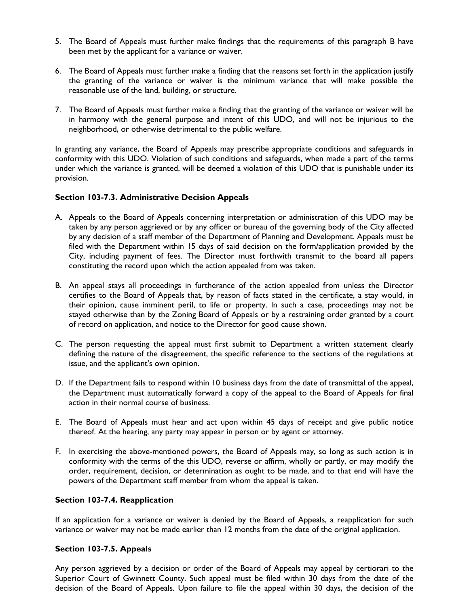- 5. The Board of Appeals must further make findings that the requirements of this paragraph B have been met by the applicant for a variance or waiver.
- 6. The Board of Appeals must further make a finding that the reasons set forth in the application justify the granting of the variance or waiver is the minimum variance that will make possible the reasonable use of the land, building, or structure.
- 7. The Board of Appeals must further make a finding that the granting of the variance or waiver will be in harmony with the general purpose and intent of this UDO, and will not be injurious to the neighborhood, or otherwise detrimental to the public welfare.

In granting any variance, the Board of Appeals may prescribe appropriate conditions and safeguards in conformity with this UDO. Violation of such conditions and safeguards, when made a part of the terms under which the variance is granted, will be deemed a violation of this UDO that is punishable under its provision.

## **Section 103-7.3. Administrative Decision Appeals**

- A. Appeals to the Board of Appeals concerning interpretation or administration of this UDO may be taken by any person aggrieved or by any officer or bureau of the governing body of the City affected by any decision of a staff member of the Department of Planning and Development. Appeals must be filed with the Department within 15 days of said decision on the form/application provided by the City, including payment of fees. The Director must forthwith transmit to the board all papers constituting the record upon which the action appealed from was taken.
- B. An appeal stays all proceedings in furtherance of the action appealed from unless the Director certifies to the Board of Appeals that, by reason of facts stated in the certificate, a stay would, in their opinion, cause imminent peril, to life or property. In such a case, proceedings may not be stayed otherwise than by the Zoning Board of Appeals or by a restraining order granted by a court of record on application, and notice to the Director for good cause shown.
- C. The person requesting the appeal must first submit to Department a written statement clearly defining the nature of the disagreement, the specific reference to the sections of the regulations at issue, and the applicant's own opinion.
- D. If the Department fails to respond within 10 business days from the date of transmittal of the appeal, the Department must automatically forward a copy of the appeal to the Board of Appeals for final action in their normal course of business.
- E. The Board of Appeals must hear and act upon within 45 days of receipt and give public notice thereof. At the hearing, any party may appear in person or by agent or attorney.
- F. In exercising the above-mentioned powers, the Board of Appeals may, so long as such action is in conformity with the terms of the this UDO, reverse or affirm, wholly or partly, or may modify the order, requirement, decision, or determination as ought to be made, and to that end will have the powers of the Department staff member from whom the appeal is taken.

## **Section 103-7.4. Reapplication**

If an application for a variance or waiver is denied by the Board of Appeals, a reapplication for such variance or waiver may not be made earlier than 12 months from the date of the original application.

## **Section 103-7.5. Appeals**

Any person aggrieved by a decision or order of the Board of Appeals may appeal by certiorari to the Superior Court of Gwinnett County. Such appeal must be filed within 30 days from the date of the decision of the Board of Appeals. Upon failure to file the appeal within 30 days, the decision of the